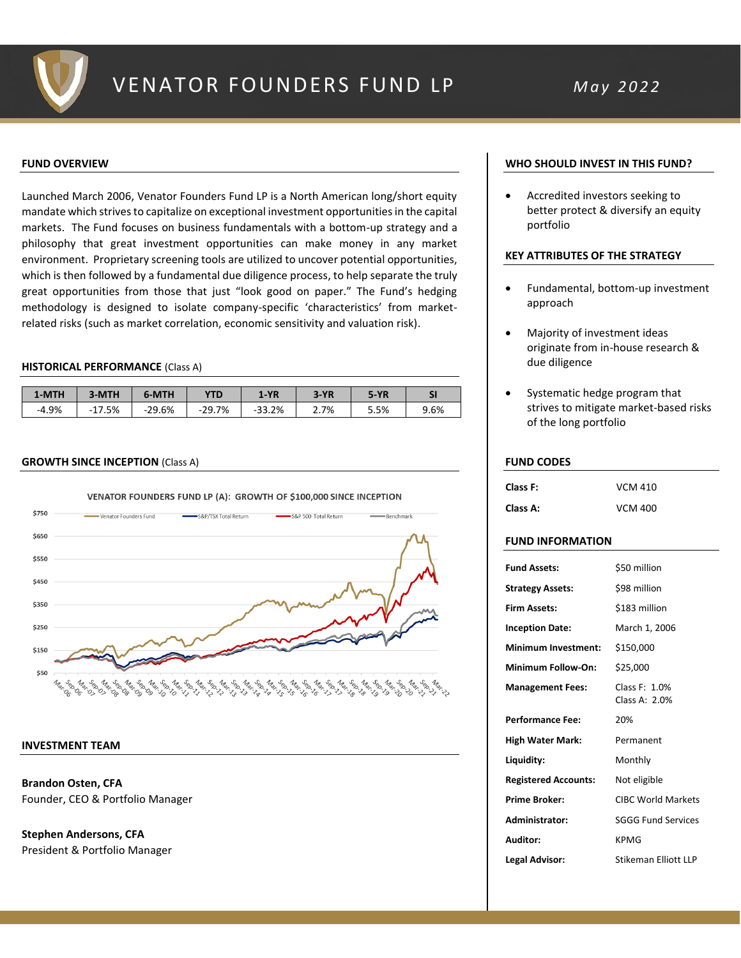

## **FUND OVERVIEW**

Launched March 2006, Venator Founders Fund LP is a North American long/short equity mandate which strives to capitalize on exceptional investment opportunities in the capital markets. The Fund focuses on business fundamentals with a bottom-up strategy and a philosophy that great investment opportunities can make money in any market environment. Proprietary screening tools are utilized to uncover potential opportunities, which is then followed by a fundamental due diligence process, to help separate the truly great opportunities from those that just "look good on paper." The Fund's hedging methodology is designed to isolate company-specific 'characteristics' from marketrelated risks (such as market correlation, economic sensitivity and valuation risk).

## **HISTORICAL PERFORMANCE** (Class A)

| 1-MTH   | 3-MTH        | 6-MTH    | <b>YTD</b> | $1-YR$   | $3-YR$ | $5-YR$ | SI   |
|---------|--------------|----------|------------|----------|--------|--------|------|
| $-4.9%$ | .5%<br>$-11$ | $-29.6%$ | $-29.7%$   | $-33.2%$ | 2.7%   | 5.5%   | 9.6% |

### **GROWTH SINCE INCEPTION** (Class A)



## **INVESTMENT TEAM**

**Brandon Osten, CFA** Founder, CEO & Portfolio Manager

**Stephen Andersons, CFA** President & Portfolio Manager

## **WHO SHOULD INVEST IN THIS FUND?**

• Accredited investors seeking to better protect & diversify an equity portfolio

## **KEY ATTRIBUTES OF THE STRATEGY**

- Fundamental, bottom-up investment approach
- Majority of investment ideas originate from in-house research & due diligence
- Systematic hedge program that strives to mitigate market-based risks of the long portfolio

### **FUND CODES**

| Class F: | <b>VCM 410</b> |
|----------|----------------|
| Class A: | <b>VCM 400</b> |

## **FUND INFORMATION**

| <b>Fund Assets:</b>         | \$50 million                   |
|-----------------------------|--------------------------------|
| <b>Strategy Assets:</b>     | \$98 million                   |
| <b>Firm Assets:</b>         | \$183 million                  |
| <b>Inception Date:</b>      | March 1, 2006                  |
| Minimum Investment:         | \$150,000                      |
| Minimum Follow-On:          | \$25,000                       |
| <b>Management Fees:</b>     | Class F: 1.0%<br>Class A: 2.0% |
| <b>Performance Fee:</b>     | 20%                            |
| <b>High Water Mark:</b>     | Permanent                      |
| Liquidity:                  | Monthly                        |
| <b>Registered Accounts:</b> | Not eligible                   |
| <b>Prime Broker:</b>        | <b>CIBC World Markets</b>      |
| Administrator:              | <b>SGGG Fund Services</b>      |
| Auditor:                    | <b>KPMG</b>                    |
| Legal Advisor:              | Stikeman Flliott II P          |